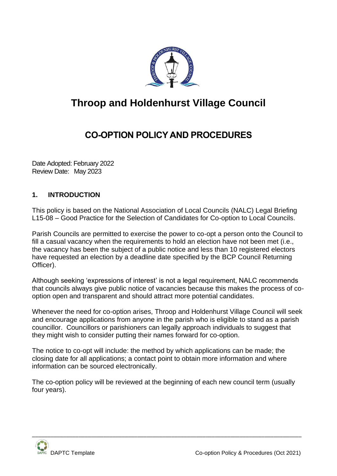

# **Throop and Holdenhurst Village Council**

## **CO-OPTION POLICY AND PROCEDURES**

Date Adopted: February 2022 Review Date: May 2023

## **1. INTRODUCTION**

This policy is based on the National Association of Local Councils (NALC) Legal Briefing L15-08 – Good Practice for the Selection of Candidates for Co-option to Local Councils.

Parish Councils are permitted to exercise the power to co-opt a person onto the Council to fill a casual vacancy when the requirements to hold an election have not been met (i.e., the vacancy has been the subject of a public notice and less than 10 registered electors have requested an election by a deadline date specified by the BCP Council Returning Officer).

Although seeking 'expressions of interest' is not a legal requirement, NALC recommends that councils always give public notice of vacancies because this makes the process of cooption open and transparent and should attract more potential candidates.

Whenever the need for co-option arises, Throop and Holdenhurst Village Council will seek and encourage applications from anyone in the parish who is eligible to stand as a parish councillor. Councillors or parishioners can legally approach individuals to suggest that they might wish to consider putting their names forward for co-option.

The notice to co-opt will include: the method by which applications can be made; the closing date for all applications; a contact point to obtain more information and where information can be sourced electronically.

The co-option policy will be reviewed at the beginning of each new council term (usually four years).

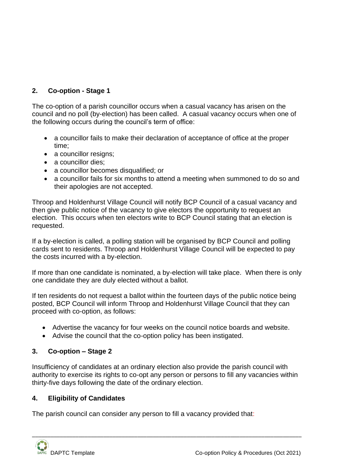## **2. Co-option - Stage 1**

The co-option of a parish councillor occurs when a casual vacancy has arisen on the council and no poll (by-election) has been called. A casual vacancy occurs when one of the following occurs during the council's term of office:

- a councillor fails to make their declaration of acceptance of office at the proper time;
- a councillor resigns;
- a councillor dies;
- a councillor becomes disqualified; or
- a councillor fails for six months to attend a meeting when summoned to do so and their apologies are not accepted.

Throop and Holdenhurst Village Council will notify BCP Council of a casual vacancy and then give public notice of the vacancy to give electors the opportunity to request an election. This occurs when ten electors write to BCP Council stating that an election is requested.

If a by-election is called, a polling station will be organised by BCP Council and polling cards sent to residents. Throop and Holdenhurst Village Council will be expected to pay the costs incurred with a by-election.

If more than one candidate is nominated, a by-election will take place. When there is only one candidate they are duly elected without a ballot.

If ten residents do not request a ballot within the fourteen days of the public notice being posted, BCP Council will inform Throop and Holdenhurst Village Council that they can proceed with co-option, as follows:

- Advertise the vacancy for four weeks on the council notice boards and website.
- Advise the council that the co-option policy has been instigated.

## **3. Co-option – Stage 2**

Insufficiency of candidates at an ordinary election also provide the parish council with authority to exercise its rights to co-opt any person or persons to fill any vacancies within thirty-five days following the date of the ordinary election.

\_\_\_\_\_\_\_\_\_\_\_\_\_\_\_\_\_\_\_\_\_\_\_\_\_\_\_\_\_\_\_\_\_\_\_\_\_\_\_\_\_\_\_\_\_\_\_\_\_\_\_\_\_\_\_\_\_\_\_\_\_\_\_\_\_\_\_\_\_\_\_\_\_\_\_\_\_\_\_\_\_\_\_\_\_\_\_

## **4. Eligibility of Candidates**

The parish council can consider any person to fill a vacancy provided that: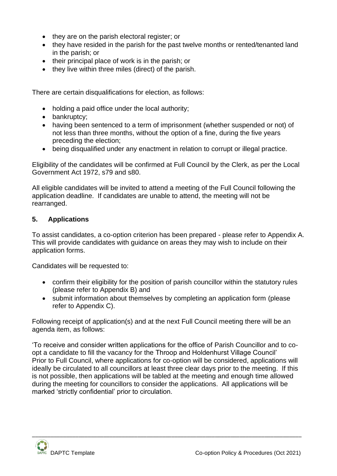- they are on the parish electoral register; or
- they have resided in the parish for the past twelve months or rented/tenanted land in the parish; or
- their principal place of work is in the parish; or
- they live within three miles (direct) of the parish.

There are certain disqualifications for election, as follows:

- holding a paid office under the local authority;
- bankruptcy:
- having been sentenced to a term of imprisonment (whether suspended or not) of not less than three months, without the option of a fine, during the five years preceding the election;
- being disqualified under any enactment in relation to corrupt or illegal practice.

Eligibility of the candidates will be confirmed at Full Council by the Clerk, as per the Local Government Act 1972, s79 and s80.

All eligible candidates will be invited to attend a meeting of the Full Council following the application deadline. If candidates are unable to attend, the meeting will not be rearranged.

#### **5. Applications**

To assist candidates, a co-option criterion has been prepared - please refer to Appendix A. This will provide candidates with guidance on areas they may wish to include on their application forms.

Candidates will be requested to:

- confirm their eligibility for the position of parish councillor within the statutory rules (please refer to Appendix B) and
- submit information about themselves by completing an application form (please refer to Appendix C).

Following receipt of application(s) and at the next Full Council meeting there will be an agenda item, as follows:

'To receive and consider written applications for the office of Parish Councillor and to coopt a candidate to fill the vacancy for the Throop and Holdenhurst Village Council' Prior to Full Council, where applications for co-option will be considered, applications will ideally be circulated to all councillors at least three clear days prior to the meeting. If this is not possible, then applications will be tabled at the meeting and enough time allowed during the meeting for councillors to consider the applications. All applications will be marked 'strictly confidential' prior to circulation.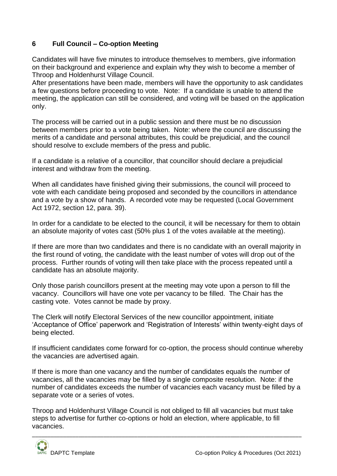## **6 Full Council – Co-option Meeting**

Candidates will have five minutes to introduce themselves to members, give information on their background and experience and explain why they wish to become a member of Throop and Holdenhurst Village Council.

After presentations have been made, members will have the opportunity to ask candidates a few questions before proceeding to vote. Note: If a candidate is unable to attend the meeting, the application can still be considered, and voting will be based on the application only.

The process will be carried out in a public session and there must be no discussion between members prior to a vote being taken. Note: where the council are discussing the merits of a candidate and personal attributes, this could be prejudicial, and the council should resolve to exclude members of the press and public.

If a candidate is a relative of a councillor, that councillor should declare a prejudicial interest and withdraw from the meeting.

When all candidates have finished giving their submissions, the council will proceed to vote with each candidate being proposed and seconded by the councillors in attendance and a vote by a show of hands. A recorded vote may be requested (Local Government Act 1972, section 12, para. 39).

In order for a candidate to be elected to the council, it will be necessary for them to obtain an absolute majority of votes cast (50% plus 1 of the votes available at the meeting).

If there are more than two candidates and there is no candidate with an overall majority in the first round of voting, the candidate with the least number of votes will drop out of the process. Further rounds of voting will then take place with the process repeated until a candidate has an absolute majority.

Only those parish councillors present at the meeting may vote upon a person to fill the vacancy. Councillors will have one vote per vacancy to be filled. The Chair has the casting vote. Votes cannot be made by proxy.

The Clerk will notify Electoral Services of the new councillor appointment, initiate 'Acceptance of Office' paperwork and 'Registration of Interests' within twenty-eight days of being elected.

If insufficient candidates come forward for co-option, the process should continue whereby the vacancies are advertised again.

If there is more than one vacancy and the number of candidates equals the number of vacancies, all the vacancies may be filled by a single composite resolution. Note: if the number of candidates exceeds the number of vacancies each vacancy must be filled by a separate vote or a series of votes.

Throop and Holdenhurst Village Council is not obliged to fill all vacancies but must take steps to advertise for further co-options or hold an election, where applicable, to fill vacancies.

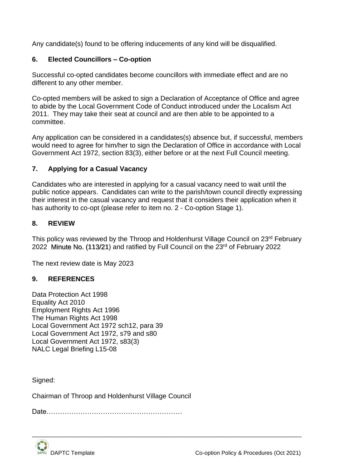Any candidate(s) found to be offering inducements of any kind will be disqualified.

#### **6. Elected Councillors – Co-option**

Successful co-opted candidates become councillors with immediate effect and are no different to any other member.

Co-opted members will be asked to sign a Declaration of Acceptance of Office and agree to abide by the Local Government Code of Conduct introduced under the Localism Act 2011. They may take their seat at council and are then able to be appointed to a committee.

Any application can be considered in a candidates(s) absence but, if successful, members would need to agree for him/her to sign the Declaration of Office in accordance with Local Government Act 1972, section 83(3), either before or at the next Full Council meeting.

#### **7. Applying for a Casual Vacancy**

Candidates who are interested in applying for a casual vacancy need to wait until the public notice appears. Candidates can write to the parish/town council directly expressing their interest in the casual vacancy and request that it considers their application when it has authority to co-opt (please refer to item no. 2 - Co-option Stage 1).

#### **8. REVIEW**

This policy was reviewed by the Throop and Holdenhurst Village Council on 23<sup>rd</sup> February 2022 Minute No. (113/21) and ratified by Full Council on the 23<sup>rd</sup> of February 2022

\_\_\_\_\_\_\_\_\_\_\_\_\_\_\_\_\_\_\_\_\_\_\_\_\_\_\_\_\_\_\_\_\_\_\_\_\_\_\_\_\_\_\_\_\_\_\_\_\_\_\_\_\_\_\_\_\_\_\_\_\_\_\_\_\_\_\_\_\_\_\_\_\_\_\_\_\_\_\_\_\_\_\_\_\_\_\_

The next review date is May 2023

#### **9. REFERENCES**

Data Protection Act 1998 Equality Act 2010 Employment Rights Act 1996 The Human Rights Act 1998 Local Government Act 1972 sch12, para 39 Local Government Act 1972, s79 and s80 Local Government Act 1972, s83(3) NALC Legal Briefing L15-08

Signed:

Chairman of Throop and Holdenhurst Village Council

Date……………………………………………………

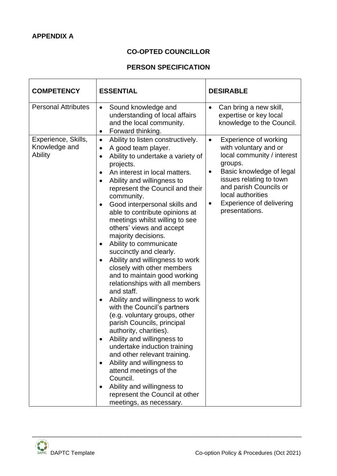## **CO-OPTED COUNCILLOR**

## **PERSON SPECIFICATION**

| <b>COMPETENCY</b>                               | <b>ESSENTIAL</b>                                                                                                                                                                                                                                                                                                                                                                                                                                                                                                                                                                                                                                                                                                                                                                                                                                                                                                                                                                                                                                                                                              | <b>DESIRABLE</b>                                                                                                                                                                                                                                                                  |
|-------------------------------------------------|---------------------------------------------------------------------------------------------------------------------------------------------------------------------------------------------------------------------------------------------------------------------------------------------------------------------------------------------------------------------------------------------------------------------------------------------------------------------------------------------------------------------------------------------------------------------------------------------------------------------------------------------------------------------------------------------------------------------------------------------------------------------------------------------------------------------------------------------------------------------------------------------------------------------------------------------------------------------------------------------------------------------------------------------------------------------------------------------------------------|-----------------------------------------------------------------------------------------------------------------------------------------------------------------------------------------------------------------------------------------------------------------------------------|
| <b>Personal Attributes</b>                      | Sound knowledge and<br>$\bullet$<br>understanding of local affairs<br>and the local community.<br>Forward thinking.<br>$\bullet$                                                                                                                                                                                                                                                                                                                                                                                                                                                                                                                                                                                                                                                                                                                                                                                                                                                                                                                                                                              | Can bring a new skill,<br>$\bullet$<br>expertise or key local<br>knowledge to the Council.                                                                                                                                                                                        |
| Experience, Skills,<br>Knowledge and<br>Ability | Ability to listen constructively.<br>$\bullet$<br>A good team player.<br>$\bullet$<br>Ability to undertake a variety of<br>٠<br>projects.<br>An interest in local matters.<br>$\bullet$<br>Ability and willingness to<br>$\bullet$<br>represent the Council and their<br>community.<br>Good interpersonal skills and<br>٠<br>able to contribute opinions at<br>meetings whilst willing to see<br>others' views and accept<br>majority decisions.<br>Ability to communicate<br>٠<br>succinctly and clearly.<br>Ability and willingness to work<br>$\bullet$<br>closely with other members<br>and to maintain good working<br>relationships with all members<br>and staff.<br>Ability and willingness to work<br>$\bullet$<br>with the Council's partners<br>(e.g. voluntary groups, other<br>parish Councils, principal<br>authority, charities).<br>Ability and willingness to<br>undertake induction training<br>and other relevant training.<br>Ability and willingness to<br>attend meetings of the<br>Council.<br>Ability and willingness to<br>represent the Council at other<br>meetings, as necessary. | Experience of working<br>$\bullet$<br>with voluntary and or<br>local community / interest<br>groups.<br>Basic knowledge of legal<br>$\bullet$<br>issues relating to town<br>and parish Councils or<br>local authorities<br><b>Experience of delivering</b><br>٠<br>presentations. |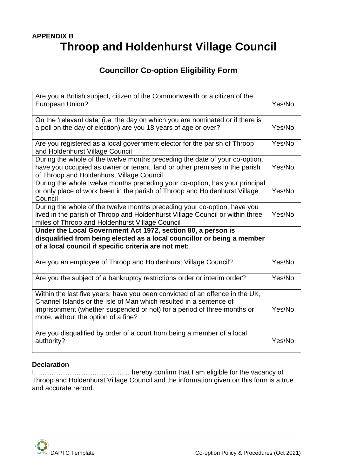## **APPENDIX B Throop and Holdenhurst Village Council**

## **Councillor Co-option Eligibility Form**

| Are you a British subject, citizen of the Commonwealth or a citizen of the<br><b>European Union?</b>                                                                                                                                                                 | Yes/No |  |
|----------------------------------------------------------------------------------------------------------------------------------------------------------------------------------------------------------------------------------------------------------------------|--------|--|
| On the 'relevant date' (i.e. the day on which you are nominated or if there is<br>a poll on the day of election) are you 18 years of age or over?                                                                                                                    |        |  |
| Are you registered as a local government elector for the parish of Throop<br>and Holdenhurst Village Council                                                                                                                                                         | Yes/No |  |
| During the whole of the twelve months preceding the date of your co-option,<br>have you occupied as owner or tenant, land or other premises in the parish<br>of Throop and Holdenhurst Village Council                                                               | Yes/No |  |
| During the whole twelve months preceding your co-option, has your principal<br>or only place of work been in the parish of Throop and Holdenhurst Village<br>Council                                                                                                 | Yes/No |  |
| During the whole of the twelve months preceding your co-option, have you<br>lived in the parish of Throop and Holdenhurst Village Council or within three<br>miles of Throop and Holdenhurst Village Council                                                         | Yes/No |  |
| Under the Local Government Act 1972, section 80, a person is<br>disqualified from being elected as a local councillor or being a member<br>of a local council if specific criteria are not met:                                                                      |        |  |
| Are you an employee of Throop and Holdenhurst Village Council?                                                                                                                                                                                                       | Yes/No |  |
| Are you the subject of a bankruptcy restrictions order or interim order?                                                                                                                                                                                             | Yes/No |  |
| Within the last five years, have you been convicted of an offence in the UK,<br>Channel Islands or the Isle of Man which resulted in a sentence of<br>imprisonment (whether suspended or not) for a period of three months or<br>more, without the option of a fine? | Yes/No |  |
| Are you disqualified by order of a court from being a member of a local<br>authority?                                                                                                                                                                                | Yes/No |  |

#### **Declaration**

I, *………………………………….*, hereby confirm that I am eligible for the vacancy of Throop and Holdenhurst Village Council and the information given on this form is a true and accurate record.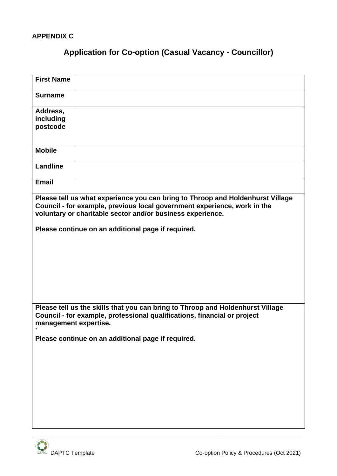#### **APPENDIX C**

## **Application for Co-option (Casual Vacancy - Councillor)**

| <b>First Name</b>                                                                                                                                                                                                        |  |  |
|--------------------------------------------------------------------------------------------------------------------------------------------------------------------------------------------------------------------------|--|--|
| <b>Surname</b>                                                                                                                                                                                                           |  |  |
| Address,<br>including<br>postcode                                                                                                                                                                                        |  |  |
| <b>Mobile</b>                                                                                                                                                                                                            |  |  |
| Landline                                                                                                                                                                                                                 |  |  |
| <b>Email</b>                                                                                                                                                                                                             |  |  |
| Please tell us what experience you can bring to Throop and Holdenhurst Village<br>Council - for example, previous local government experience, work in the<br>voluntary or charitable sector and/or business experience. |  |  |
| Please continue on an additional page if required.                                                                                                                                                                       |  |  |
|                                                                                                                                                                                                                          |  |  |
|                                                                                                                                                                                                                          |  |  |
|                                                                                                                                                                                                                          |  |  |
|                                                                                                                                                                                                                          |  |  |
|                                                                                                                                                                                                                          |  |  |
| Please tell us the skills that you can bring to Throop and Holdenhurst Village<br>Council - for example, professional qualifications, financial or project<br>management expertise.                                      |  |  |
| Please continue on an additional page if required.                                                                                                                                                                       |  |  |
|                                                                                                                                                                                                                          |  |  |
|                                                                                                                                                                                                                          |  |  |
|                                                                                                                                                                                                                          |  |  |
|                                                                                                                                                                                                                          |  |  |
|                                                                                                                                                                                                                          |  |  |
|                                                                                                                                                                                                                          |  |  |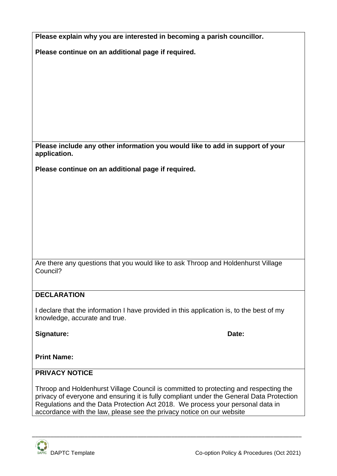| Please explain why you are interested in becoming a parish councillor.                                                    |
|---------------------------------------------------------------------------------------------------------------------------|
| Please continue on an additional page if required.                                                                        |
|                                                                                                                           |
|                                                                                                                           |
|                                                                                                                           |
|                                                                                                                           |
|                                                                                                                           |
|                                                                                                                           |
|                                                                                                                           |
| Please include any other information you would like to add in support of your<br>application.                             |
| Please continue on an additional page if required.                                                                        |
|                                                                                                                           |
|                                                                                                                           |
|                                                                                                                           |
|                                                                                                                           |
|                                                                                                                           |
|                                                                                                                           |
| Are there any questions that you would like to ask Throop and Holdenhurst Village                                         |
| Council?                                                                                                                  |
|                                                                                                                           |
| <b>DECLARATION</b>                                                                                                        |
| I declare that the information I have provided in this application is, to the best of my<br>knowledge, accurate and true. |
| Signature:<br>Date:                                                                                                       |
|                                                                                                                           |
| <b>Print Name:</b>                                                                                                        |
| <b>PRIVACY NOTICE</b>                                                                                                     |
| Throop and Holdenburst Village Council is committed to protecting and respecting the                                      |

Throop and Holdenhurst Village Council is committed to protecting and respecting the privacy of everyone and ensuring it is fully compliant under the General Data Protection Regulations and the Data Protection Act 2018. We process your personal data in accordance with the law, please see the privacy notice on our website